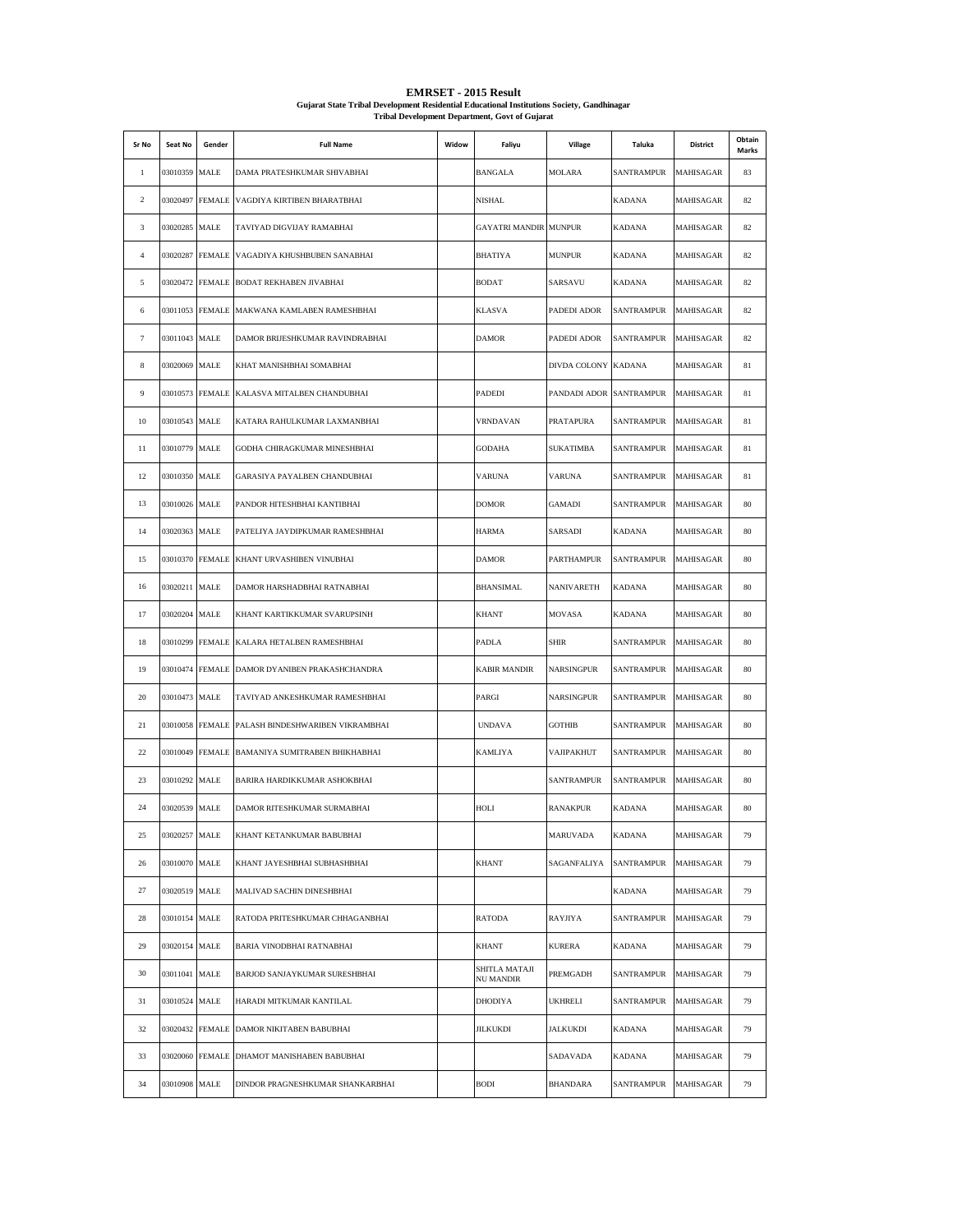| Sr No        | Seat No         | Gender          | <b>Full Name</b>                               | Widow | Faliyu                            | Village             | Taluka            | District  | Obtain<br>Marks |
|--------------|-----------------|-----------------|------------------------------------------------|-------|-----------------------------------|---------------------|-------------------|-----------|-----------------|
| $\mathbf{1}$ | 03010359        | MALE            | DAMA PRATESHKUMAR SHIVABHAI                    |       | BANGALA                           | <b>MOLARA</b>       | SANTRAMPUR        | MAHISAGAR | 83              |
| 2            |                 | 03020497 FEMALE | VAGDIYA KIRTIBEN BHARATBHAI                    |       | NISHAL                            |                     | <b>KADANA</b>     | MAHISAGAR | 82              |
| 3            | 03020285 MALE   |                 | TAVIYAD DIGVIJAY RAMABHAI                      |       | <b>GAYATRI MANDIR MUNPUR</b>      |                     | <b>KADANA</b>     | MAHISAGAR | 82              |
| 4            | 03020287        | <b>FEMALE</b>   | VAGADIYA KHUSHBUBEN SANABHAI                   |       | <b>BHATIYA</b>                    | <b>MUNPUR</b>       | <b>KADANA</b>     | MAHISAGAR | 82              |
| 5            |                 | 03020472 FEMALE | BODAT REKHABEN JIVABHAI                        |       | <b>BODAT</b>                      | SARSAVU             | <b>KADANA</b>     | MAHISAGAR | 82              |
| 6            |                 |                 | 03011053 FEMALE MAKWANA KAMLABEN RAMESHBHAI    |       | <b>KLASVA</b>                     | PADEDI ADOR         | <b>SANTRAMPUR</b> | MAHISAGAR | 82              |
| 7            | 03011043 MALE   |                 | DAMOR BRIJESHKUMAR RAVINDRABHAI                |       | <b>DAMOR</b>                      | PADEDI ADOR         | <b>SANTRAMPUR</b> | MAHISAGAR | 82              |
| 8            | 03020069 MALE   |                 | KHAT MANISHBHAI SOMABHAI                       |       |                                   | DIVDA COLONY KADANA |                   | MAHISAGAR | 81              |
| 9            | 03010573 FEMALE |                 | KALASVA MITALBEN CHANDUBHAI                    |       | <b>PADEDI</b>                     | PANDADI ADOR        | <b>SANTRAMPUR</b> | MAHISAGAR | 81              |
| 10           | 03010543 MALE   |                 | KATARA RAHULKUMAR LAXMANBHAI                   |       | <b>VRNDAVAN</b>                   | PRATAPURA           | SANTRAMPUR        | MAHISAGAR | 81              |
| 11           | 03010779        | MALE            | GODHA CHIRAGKUMAR MINESHBHAI                   |       | <b>GODAHA</b>                     | <b>SUKATIMBA</b>    | <b>SANTRAMPUR</b> | MAHISAGAR | 81              |
| 12           | 03010350 MALE   |                 | GARASIYA PAYALBEN CHANDUBHAI                   |       | <b>VARUNA</b>                     | <b>VARUNA</b>       | SANTRAMPUR        | MAHISAGAR | 81              |
| 13           | 03010026 MALE   |                 | PANDOR HITESHBHAI KANTIBHAI                    |       | <b>DOMOR</b>                      | <b>GAMADI</b>       | SANTRAMPUR        | MAHISAGAR | 80              |
| 14           | 03020363 MALE   |                 | PATELIYA JAYDIPKUMAR RAMESHBHAI                |       | <b>HARMA</b>                      | SARSADI             | <b>KADANA</b>     | MAHISAGAR | 80              |
| 15           | 03010370        | <b>FEMALE</b>   | KHANT URVASHIBEN VINUBHAI                      |       | <b>DAMOR</b>                      | PARTHAMPUR          | <b>SANTRAMPUR</b> | MAHISAGAR | 80              |
| 16           | 03020211 MALE   |                 | DAMOR HARSHADBHAI RATNABHAI                    |       | <b>BHANSIMAL</b>                  | NANIVARETH          | <b>KADANA</b>     | MAHISAGAR | 80              |
| 17           | 03020204        | MALE            | KHANT KARTIKKUMAR SVARUPSINH                   |       | <b>KHANT</b>                      | MOVASA              | <b>KADANA</b>     | MAHISAGAR | 80              |
| 18           | 03010299        | <b>FEMALE</b>   | KALARA HETALBEN RAMESHBHAI                     |       | PADLA                             | SHIR                | SANTRAMPUR        | MAHISAGAR | 80              |
| 19           |                 |                 | 03010474 FEMALE DAMOR DYANIBEN PRAKASHCHANDRA  |       | <b>KABIR MANDIR</b>               | NARSINGPUR          | SANTRAMPUR        | MAHISAGAR | 80              |
| 20           | 03010473 MALE   |                 | TAVIYAD ANKESHKUMAR RAMESHBHAI                 |       | PARGI                             | NARSINGPUR          | SANTRAMPUR        | MAHISAGAR | 80              |
| 21           |                 | 03010058 FEMALE | PALASH BINDESHWARIBEN VIKRAMBHAI               |       | <b>UNDAVA</b>                     | <b>GOTHIB</b>       | SANTRAMPUR        | MAHISAGAR | 80              |
| 22           |                 |                 | 03010049 FEMALE BAMANIYA SUMITRABEN BHIKHABHAI |       | <b>KAMLIYA</b>                    | VAJIPAKHUT          | <b>SANTRAMPUR</b> | MAHISAGAR | 80              |
| 23           | 03010292 MALE   |                 | BARIRA HARDIKKUMAR ASHOKBHAI                   |       |                                   | <b>SANTRAMPUR</b>   | SANTRAMPUR        | MAHISAGAR | 80              |
| 24           | 03020539 MALE   |                 | DAMOR RITESHKUMAR SURMABHAI                    |       | HOLI                              | <b>RANAKPUR</b>     | <b>KADANA</b>     | MAHISAGAR | 80              |
| 25           | 03020257 MALE   |                 | KHANT KETANKUMAR BABUBHAI                      |       |                                   | MARUVADA            | <b>KADANA</b>     | MAHISAGAR | 79              |
| 26           | 03010070 MALE   |                 | KHANT JAYESHBHAI SUBHASHBHAI                   |       | <b>KHANT</b>                      | SAGANFALIYA         | SANTRAMPUR        | MAHISAGAR | 79              |
| 27           | 03020519 MALE   |                 | MALIVAD SACHIN DINESHBHAI                      |       |                                   |                     | <b>KADANA</b>     | MAHISAGAR | 79              |
| 28           | 03010154 MALE   |                 | RATODA PRITESHKUMAR CHHAGANBHAI                |       | <b>RATODA</b>                     | <b>RAYJIYA</b>      | SANTRAMPUR        | MAHISAGAR | 79              |
| 29           | 03020154 MALE   |                 | BARIA VINODBHAI RATNABHAI                      |       | <b>KHANT</b>                      | <b>KURERA</b>       | <b>KADANA</b>     | MAHISAGAR | 79              |
| 30           | 03011041 MALE   |                 | BARJOD SANJAYKUMAR SURESHBHAI                  |       | SHITLA MATAJI<br><b>NU MANDIR</b> | PREMGADH            | <b>SANTRAMPUR</b> | MAHISAGAR | 79              |
| 31           | 03010524 MALE   |                 | HARADI MITKUMAR KANTILAL                       |       | <b>DHODIYA</b>                    | UKHRELI             | <b>SANTRAMPUR</b> | MAHISAGAR | 79              |
| 32           |                 |                 | 03020432 FEMALE DAMOR NIKITABEN BABUBHAI       |       | <b>JILKUKDI</b>                   | <b>JALKUKDI</b>     | KADANA            | MAHISAGAR | 79              |
| 33           |                 |                 | 03020060 FEMALE DHAMOT MANISHABEN BABUBHAI     |       |                                   | SADAVADA            | KADANA            | MAHISAGAR | 79              |
| 34           | 03010908 MALE   |                 | DINDOR PRAGNESHKUMAR SHANKARBHAI               |       | <b>BODI</b>                       | <b>BHANDARA</b>     | SANTRAMPUR        | MAHISAGAR | 79              |

**EMRSET - 2015 Result Gujarat State Tribal Development Residential Educational Institutions Society, Gandhinagar Tribal Development Department, Govt of Gujarat**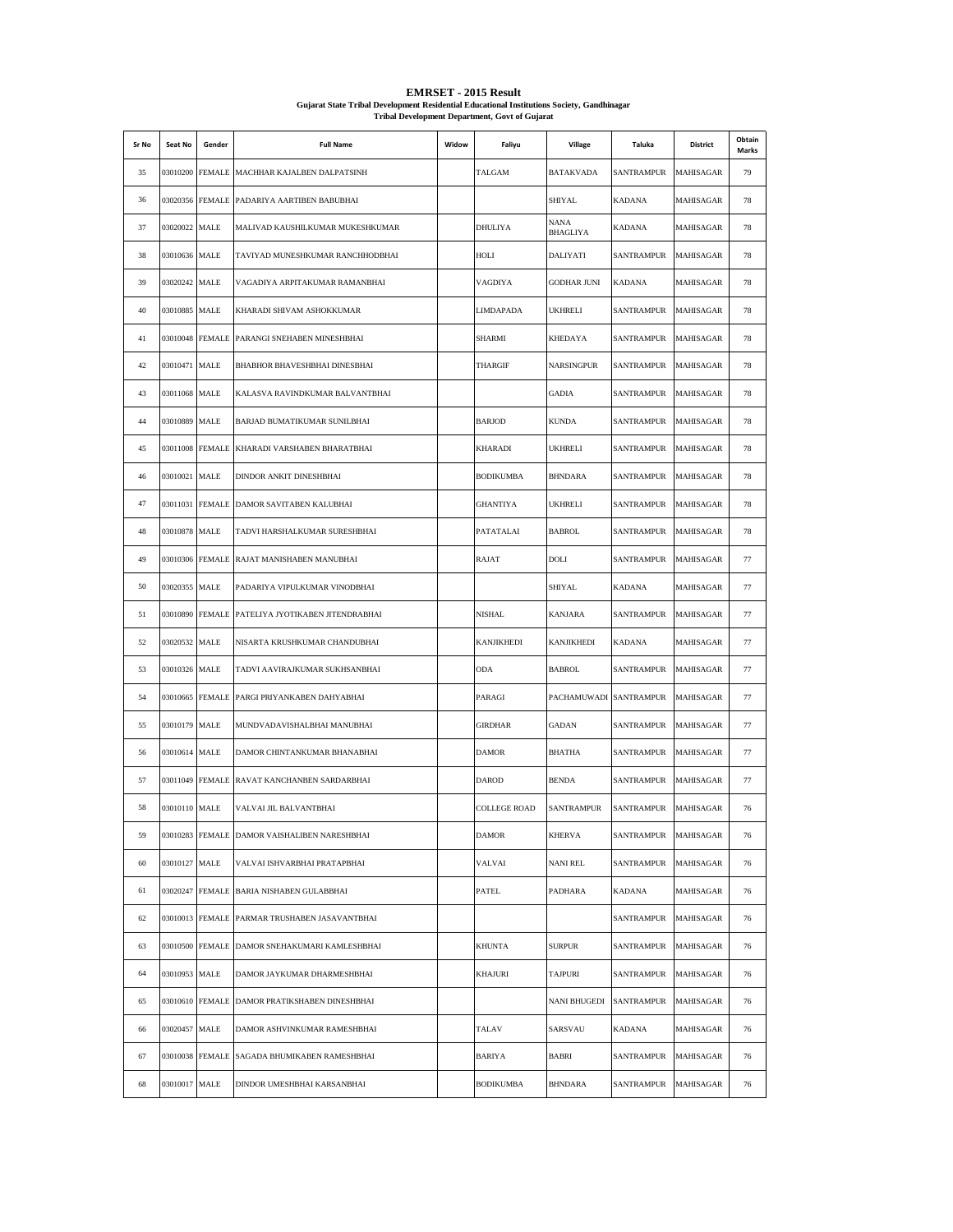| Sr No | Seat No       | Gender          | <b>Full Name</b>                              | Widow | Faliyu              | Village                 | Taluka            | <b>District</b> | Obtain<br>Marks |
|-------|---------------|-----------------|-----------------------------------------------|-------|---------------------|-------------------------|-------------------|-----------------|-----------------|
| 35    |               |                 | 03010200 FEMALE MACHHAR KAJALBEN DALPATSINH   |       | TALGAM              | <b>BATAKVADA</b>        | SANTRAMPUR        | MAHISAGAR       | 79              |
| 36    |               | 03020356 FEMALE | PADARIYA AARTIBEN BABUBHAI                    |       |                     | SHIYAL                  | <b>KADANA</b>     | MAHISAGAR       | 78              |
| 37    | 03020022 MALE |                 | MALIVAD KAUSHILKUMAR MUKESHKUMAR              |       | <b>DHULIYA</b>      | NANA<br><b>BHAGLIYA</b> | KADANA            | MAHISAGAR       | 78              |
| 38    | 03010636 MALE |                 | TAVIYAD MUNESHKUMAR RANCHHODBHAI              |       | HOLI                | DALIYATI                | SANTRAMPUR        | MAHISAGAR       | 78              |
| 39    | 03020242 MALE |                 | VAGADIYA ARPITAKUMAR RAMANBHAI                |       | VAGDIYA             | <b>GODHAR JUNI</b>      | <b>KADANA</b>     | MAHISAGAR       | 78              |
| 40    | 03010885 MALE |                 | KHARADI SHIVAM ASHOKKUMAR                     |       | <b>LIMDAPADA</b>    | <b>UKHRELI</b>          | SANTRAMPUR        | MAHISAGAR       | 78              |
| 41    |               | 03010048 FEMALE | PARANGI SNEHABEN MINESHBHAI                   |       | <b>SHARMI</b>       | <b>KHEDAYA</b>          | SANTRAMPUR        | MAHISAGAR       | 78              |
| 42    | 03010471 MALE |                 | BHABHOR BHAVESHBHAI DINESBHAI                 |       | THARGIF             | NARSINGPUR              | SANTRAMPUR        | MAHISAGAR       | 78              |
| 43    | 03011068 MALE |                 | KALASVA RAVINDKUMAR BALVANTBHAI               |       |                     | <b>GADIA</b>            | SANTRAMPUR        | MAHISAGAR       | 78              |
| 44    | 03010889 MALE |                 | BARJAD BUMATIKUMAR SUNILBHAI                  |       | <b>BARJOD</b>       | <b>KUNDA</b>            | SANTRAMPUR        | MAHISAGAR       | 78              |
| 45    |               | 03011008 FEMALE | KHARADI VARSHABEN BHARATBHAI                  |       | <b>KHARADI</b>      | <b>UKHRELI</b>          | SANTRAMPUR        | MAHISAGAR       | 78              |
| 46    | 03010021 MALE |                 | DINDOR ANKIT DINESHBHAI                       |       | <b>BODIKUMBA</b>    | <b>BHNDARA</b>          | SANTRAMPUR        | MAHISAGAR       | 78              |
| 47    |               | 03011031 FEMALE | DAMOR SAVITABEN KALUBHAI                      |       | <b>GHANTIYA</b>     | <b>UKHRELI</b>          | SANTRAMPUR        | MAHISAGAR       | 78              |
| 48    | 03010878 MALE |                 | TADVI HARSHALKUMAR SURESHBHAI                 |       | PATATALAI           | <b>BABROL</b>           | <b>SANTRAMPUR</b> | MAHISAGAR       | 78              |
| 49    |               | 03010306 FEMALE | RAJAT MANISHABEN MANUBHAI                     |       | RAJAT               | DOLI                    | <b>SANTRAMPUR</b> | MAHISAGAR       | 77              |
| 50    | 03020355 MALE |                 | PADARIYA VIPULKUMAR VINODBHAI                 |       |                     | SHIYAL                  | KADANA            | MAHISAGAR       | 77              |
| 51    |               | 03010890 FEMALE | PATELIYA JYOTIKABEN JITENDRABHAI              |       | <b>NISHAL</b>       | <b>KANJARA</b>          | SANTRAMPUR        | MAHISAGAR       | 77              |
| 52    | 03020532 MALE |                 | NISARTA KRUSHKUMAR CHANDUBHAI                 |       | <b>KANJIKHEDI</b>   | KANJIKHEDI              | <b>KADANA</b>     | MAHISAGAR       | 77              |
| 53    | 03010326 MALE |                 | TADVI AAVIRAJKUMAR SUKHSANBHAI                |       | <b>ODA</b>          | <b>BABROL</b>           | SANTRAMPUR        | MAHISAGAR       | 77              |
| 54    |               | 03010665 FEMALE | PARGI PRIYANKABEN DAHYABHAI                   |       | PARAGI              | PACHAMUWADI             | <b>SANTRAMPUR</b> | MAHISAGAR       | 77              |
| 55    | 03010179 MALE |                 | MUNDVADAVISHALBHAI MANUBHAI                   |       | <b>GIRDHAR</b>      | GADAN                   | SANTRAMPUR        | MAHISAGAR       | 77              |
| 56    | 03010614 MALE |                 | DAMOR CHINTANKUMAR BHANABHAI                  |       | <b>DAMOR</b>        | <b>BHATHA</b>           | <b>SANTRAMPUR</b> | MAHISAGAR       | 77              |
| 57    |               | 03011049 FEMALE | RAVAT KANCHANBEN SARDARBHAI                   |       | <b>DAROD</b>        | <b>BENDA</b>            | SANTRAMPUR        | MAHISAGAR       | 77              |
| 58    | 03010110 MALE |                 | VALVAI JIL BALVANTBHAI                        |       | <b>COLLEGE ROAD</b> | SANTRAMPUR              | SANTRAMPUR        | MAHISAGAR       | 76              |
| 59    |               |                 | 03010283 FEMALE DAMOR VAISHALIBEN NARESHBHAI  |       | <b>DAMOR</b>        | <b>KHERVA</b>           | <b>SANTRAMPUR</b> | MAHISAGAR       | 76              |
| 60    | 03010127 MALE |                 | VALVAI ISHVARBHAI PRATAPBHAI                  |       | VALVAI              | <b>NANI REL</b>         | <b>SANTRAMPUR</b> | MAHISAGAR       | 76              |
| 61    |               |                 | 03020247 FEMALE BARIA NISHABEN GULABBHAI      |       | <b>PATEL</b>        | PADHARA                 | <b>KADANA</b>     | MAHISAGAR       | 76              |
| 62    |               |                 | 03010013 FEMALE PARMAR TRUSHABEN JASAVANTBHAI |       |                     |                         | SANTRAMPUR        | MAHISAGAR       | 76              |
| 63    |               |                 | 03010500 FEMALE DAMOR SNEHAKUMARI KAMLESHBHAI |       | <b>KHUNTA</b>       | <b>SURPUR</b>           | SANTRAMPUR        | MAHISAGAR       | 76              |
| 64    | 03010953 MALE |                 | DAMOR JAYKUMAR DHARMESHBHAI                   |       | <b>KHAJURI</b>      | <b>TAJPURI</b>          | SANTRAMPUR        | MAHISAGAR       | 76              |
| 65    |               |                 | 03010610 FEMALE DAMOR PRATIKSHABEN DINESHBHAI |       |                     | NANI BHUGEDI            | SANTRAMPUR        | MAHISAGAR       | 76              |
| 66    | 03020457 MALE |                 | DAMOR ASHVINKUMAR RAMESHBHAI                  |       | TALAV               | SARSVAU                 | KADANA            | MAHISAGAR       | 76              |
| 67    |               | 03010038 FEMALE | SAGADA BHUMIKABEN RAMESHBHAI                  |       | BARIYA              | BABRI                   | SANTRAMPUR        | MAHISAGAR       | 76              |
| 68    | 03010017 MALE |                 | DINDOR UMESHBHAI KARSANBHAI                   |       | <b>BODIKUMBA</b>    | <b>BHNDARA</b>          | SANTRAMPUR        | MAHISAGAR       | 76              |

## **EMRSET - 2015 Result Gujarat State Tribal Development Residential Educational Institutions Society, Gandhinagar Tribal Development Department, Govt of Gujarat**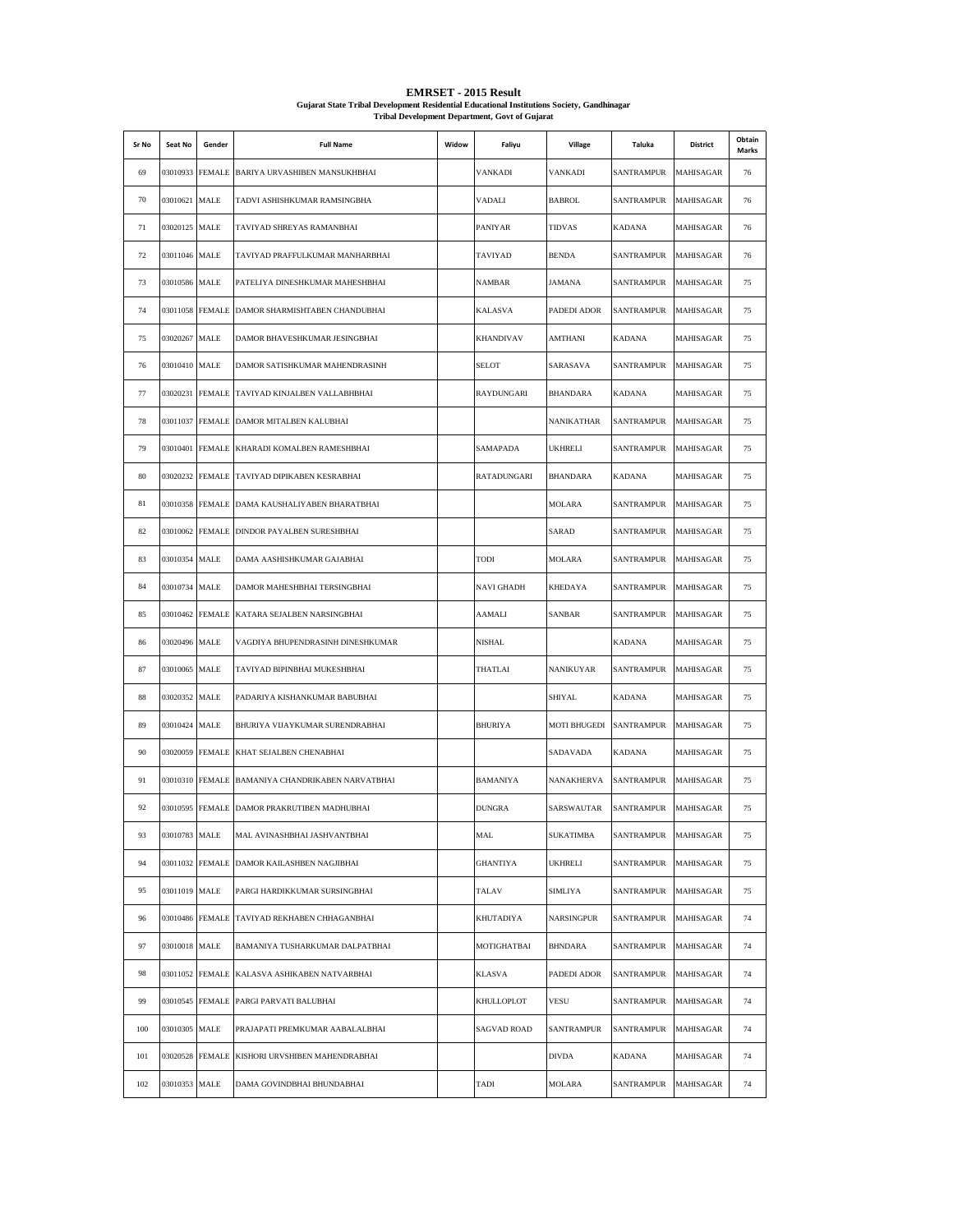| Sr No | Seat No       | Gender          | <b>Full Name</b>                                 | Widow | Faliyu             | Village          | Taluka            | District         | Obtain<br>Marks |
|-------|---------------|-----------------|--------------------------------------------------|-------|--------------------|------------------|-------------------|------------------|-----------------|
| 69    |               |                 | 03010933 FEMALE BARIYA URVASHIBEN MANSUKHBHAI    |       | VANKADI            | VANKADI          | SANTRAMPUR        | MAHISAGAR        | 76              |
| 70    | 03010621 MALE |                 | TADVI ASHISHKUMAR RAMSINGBHA                     |       | VADALI             | <b>BABROL</b>    | SANTRAMPUR        | MAHISAGAR        | 76              |
| 71    | 03020125 MALE |                 | TAVIYAD SHREYAS RAMANBHAI                        |       | PANIYAR            | <b>TIDVAS</b>    | KADANA            | MAHISAGAR        | 76              |
| 72    | 03011046 MALE |                 | TAVIYAD PRAFFULKUMAR MANHARBHAI                  |       | TAVIYAD            | <b>BENDA</b>     | SANTRAMPUR        | MAHISAGAR        | 76              |
| 73    | 03010586 MALE |                 | PATELIYA DINESHKUMAR MAHESHBHAI                  |       | NAMBAR             | JAMANA           | SANTRAMPUR        | <b>MAHISAGAR</b> | 75              |
| 74    |               |                 | 03011058 FEMALE DAMOR SHARMISHTABEN CHANDUBHAI   |       | KALASVA            | PADEDI ADOR      | SANTRAMPUR        | MAHISAGAR        | 75              |
| 75    | 03020267 MALE |                 | DAMOR BHAVESHKUMAR JESINGBHAI                    |       | <b>KHANDIVAV</b>   | AMTHANI          | KADANA            | MAHISAGAR        | 75              |
| 76    | 03010410 MALE |                 | DAMOR SATISHKUMAR MAHENDRASINH                   |       | <b>SELOT</b>       | SARASAVA         | SANTRAMPUR        | MAHISAGAR        | 75              |
| 77    |               | 03020231 FEMALE | TAVIYAD KINJALBEN VALLABHBHAI                    |       | RAYDUNGARI         | <b>BHANDARA</b>  | <b>KADANA</b>     | MAHISAGAR        | 75              |
| 78    |               |                 | 03011037 FEMALE DAMOR MITALBEN KALUBHAI          |       |                    | NANIKATHAR       | SANTRAMPUR        | MAHISAGAR        | 75              |
| 79    |               |                 | 03010401 FEMALE KHARADI KOMALBEN RAMESHBHAI      |       | SAMAPADA           | UKHRELI          | <b>SANTRAMPUR</b> | MAHISAGAR        | 75              |
| 80    |               |                 | 03020232 FEMALE TAVIYAD DIPIKABEN KESRABHAI      |       | RATADUNGARI        | <b>BHANDARA</b>  | KADANA            | MAHISAGAR        | 75              |
| 81    |               |                 | 03010358 FEMALE DAMA KAUSHALIYABEN BHARATBHAI    |       |                    | <b>MOLARA</b>    | SANTRAMPUR        | MAHISAGAR        | 75              |
| 82    |               |                 | 03010062 FEMALE DINDOR PAYALBEN SURESHBHAI       |       |                    | SARAD            | SANTRAMPUR        | MAHISAGAR        | 75              |
| 83    | 03010354 MALE |                 | DAMA AASHISHKUMAR GAJABHAI                       |       | TODI               | <b>MOLARA</b>    | SANTRAMPUR        | MAHISAGAR        | 75              |
| 84    | 03010734 MALE |                 | DAMOR MAHESHBHAI TERSINGBHAI                     |       | NAVI GHADH         | KHEDAYA          | SANTRAMPUR        | MAHISAGAR        | 75              |
| 85    |               | 03010462 FEMALE | KATARA SEJALBEN NARSINGBHAI                      |       | AAMALI             | SANBAR           | SANTRAMPUR        | MAHISAGAR        | 75              |
| 86    | 03020496 MALE |                 | VAGDIYA BHUPENDRASINH DINESHKUMAR                |       | NISHAL             |                  | <b>KADANA</b>     | MAHISAGAR        | 75              |
| 87    | 03010065 MALE |                 | TAVIYAD BIPINBHAI MUKESHBHAI                     |       | THATLAI            | NANIKUYAR        | SANTRAMPUR        | MAHISAGAR        | 75              |
| 88    | 03020352 MALE |                 | PADARIYA KISHANKUMAR BABUBHAI                    |       |                    | SHIYAL           | KADANA            | MAHISAGAR        | 75              |
| 89    | 03010424 MALE |                 | BHURIYA VIJAYKUMAR SURENDRABHAI                  |       | <b>BHURIYA</b>     | MOTI BHUGEDI     | SANTRAMPUR        | MAHISAGAR        | 75              |
| 90    |               |                 | 03020059 FEMALE KHAT SEJALBEN CHENABHAI          |       |                    | SADAVADA         | <b>KADANA</b>     | MAHISAGAR        | 75              |
| 91    |               |                 | 03010310 FEMALE BAMANIYA CHANDRIKABEN NARVATBHAI |       | <b>BAMANIYA</b>    | NANAKHERVA       | SANTRAMPUR        | MAHISAGAR        | 75              |
| 92    |               |                 | 03010595 FEMALE DAMOR PRAKRUTIBEN MADHUBHAI      |       | <b>DUNGRA</b>      | SARSWAUTAR       | SANTRAMPUR        | MAHISAGAR        | 75              |
| 93    | 03010783 MALE |                 | MAL AVINASHBHAI JASHVANTBHAI                     |       | <b>MAL</b>         | <b>SUKATIMBA</b> | SANTRAMPUR        | MAHISAGAR        | 75              |
| 94    |               |                 | 03011032 FEMALE DAMOR KAILASHBEN NAGJIBHAI       |       | <b>GHANTIYA</b>    | UKHRELI          | <b>SANTRAMPUR</b> | MAHISAGAR        | 75              |
| 95    | 03011019 MALE |                 | PARGI HARDIKKUMAR SURSINGBHAI                    |       | TALAV              | <b>SIMLIYA</b>   | <b>SANTRAMPUR</b> | MAHISAGAR        | 75              |
| 96    |               |                 | 03010486 FEMALE TAVIYAD REKHABEN CHHAGANBHAI     |       | KHUTADIYA          | NARSINGPUR       | <b>SANTRAMPUR</b> | MAHISAGAR        | 74              |
| 97    | 03010018 MALE |                 | BAMANIYA TUSHARKUMAR DALPATBHAI                  |       | MOTIGHATBAI        | <b>BHNDARA</b>   | SANTRAMPUR        | MAHISAGAR        | 74              |
| 98    |               |                 | 03011052 FEMALE KALASVA ASHIKABEN NATVARBHAI     |       | KLASVA             | PADEDI ADOR      | <b>SANTRAMPUR</b> | MAHISAGAR        | 74              |
| 99    |               |                 | 03010545 FEMALE PARGI PARVATI BALUBHAI           |       | KHULLOPLOT         | VESU             | SANTRAMPUR        | MAHISAGAR        | 74              |
| 100   | 03010305 MALE |                 | PRAJAPATI PREMKUMAR AABALALBHAI                  |       | <b>SAGVAD ROAD</b> | SANTRAMPUR       | SANTRAMPUR        | MAHISAGAR        | 74              |
| 101   |               | 03020528 FEMALE | KISHORI URVSHIBEN MAHENDRABHAI                   |       |                    | <b>DIVDA</b>     | KADANA            | MAHISAGAR        | 74              |
| 102   | 03010353 MALE |                 | DAMA GOVINDBHAI BHUNDABHAI                       |       | TADI               | <b>MOLARA</b>    | <b>SANTRAMPUR</b> | MAHISAGAR        | 74              |

**EMRSET - 2015 Result Gujarat State Tribal Development Residential Educational Institutions Society, Gandhinagar Tribal Development Department, Govt of Gujarat**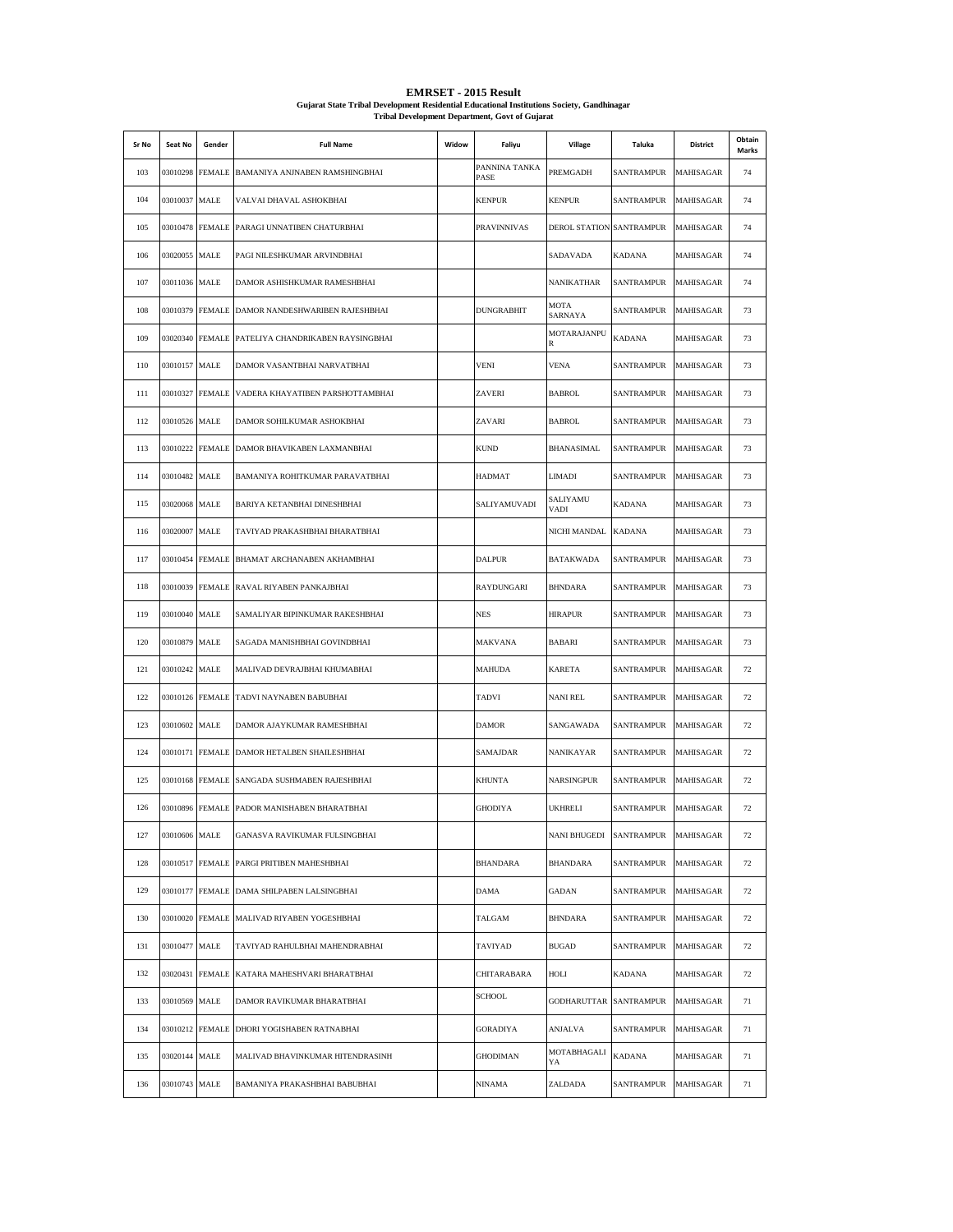| Sr No | Seat No       | Gender          | <b>Full Name</b>                           | Widow | Faliyu                | Village                  | Taluka            | District         | Obtain<br>Marks |
|-------|---------------|-----------------|--------------------------------------------|-------|-----------------------|--------------------------|-------------------|------------------|-----------------|
| 103   | 03010298      |                 | FEMALE BAMANIYA ANJNABEN RAMSHINGBHAI      |       | PANNINA TANKA<br>PASE | PREMGADH                 | SANTRAMPUR        | MAHISAGAR        | 74              |
| 104   | 03010037      | MALE            | VALVAI DHAVAL ASHOKBHAI                    |       | <b>KENPUR</b>         | <b>KENPUR</b>            | SANTRAMPUR        | MAHISAGAR        | 74              |
| 105   | 03010478      | <b>FEMALE</b>   | PARAGI UNNATIBEN CHATURBHAI                |       | <b>PRAVINNIVAS</b>    | DEROL STATION SANTRAMPUR |                   | <b>MAHISAGAR</b> | 74              |
| 106   | 03020055      | MALE            | PAGI NILESHKUMAR ARVINDBHAI                |       |                       | SADAVADA                 | KADANA            | MAHISAGAR        | 74              |
| 107   | 03011036      | MALE            | DAMOR ASHISHKUMAR RAMESHBHAI               |       |                       | <b>NANIKATHAR</b>        | SANTRAMPUR        | MAHISAGAR        | 74              |
| 108   | 03010379      |                 | FEMALE DAMOR NANDESHWARIBEN RAJESHBHAI     |       | <b>DUNGRABHIT</b>     | MOTA<br>SARNAYA          | SANTRAMPUR        | <b>MAHISAGAR</b> | 73              |
| 109   | 03020340      | <b>FEMALE</b>   | PATELIYA CHANDRIKABEN RAYSINGBHAI          |       |                       | MOTARAJANPU<br>R         | KADANA            | MAHISAGAR        | 73              |
| 110   | 03010157 MALE |                 | DAMOR VASANTBHAI NARVATBHAI                |       | <b>VENI</b>           | <b>VENA</b>              | SANTRAMPUR        | MAHISAGAR        | 73              |
| 111   | 03010327      | <b>FEMALE</b>   | VADERA KHAYATIBEN PARSHOTTAMBHAI           |       | ZAVERI                | <b>BABROL</b>            | <b>SANTRAMPUR</b> | MAHISAGAR        | 73              |
| 112   | 03010526 MALE |                 | DAMOR SOHILKUMAR ASHOKBHAI                 |       | ZAVARI                | <b>BABROL</b>            | <b>SANTRAMPUR</b> | MAHISAGAR        | 73              |
| 113   | 03010222      | <b>FEMALE</b>   | DAMOR BHAVIKABEN LAXMANBHAI                |       | <b>KUND</b>           | BHANASIMAL               | <b>SANTRAMPUR</b> | MAHISAGAR        | 73              |
| 114   | 03010482      | MALE            | BAMANIYA ROHITKUMAR PARAVATBHAI            |       | HADMAT                | <b>LIMADI</b>            | SANTRAMPUR        | MAHISAGAR        | 73              |
| 115   | 03020068      | MALE            | BARIYA KETANBHAI DINESHBHAI                |       | SALIYAMUVADI          | SALIYAMU<br>VADI         | KADANA            | MAHISAGAR        | 73              |
| 116   | 03020007      | MALE            | TAVIYAD PRAKASHBHAI BHARATBHAI             |       |                       | NICHI MANDAL             | <b>KADANA</b>     | MAHISAGAR        | 73              |
| 117   | 03010454      | <b>FEMALE</b>   | BHAMAT ARCHANABEN AKHAMBHAI                |       | <b>DALPUR</b>         | <b>BATAKWADA</b>         | SANTRAMPUR        | MAHISAGAR        | 73              |
| 118   | 03010039      | <b>FEMALE</b>   | RAVAL RIYABEN PANKAJBHAI                   |       | RAYDUNGARI            | <b>BHNDARA</b>           | SANTRAMPUR        | MAHISAGAR        | 73              |
| 119   | 03010040      | MALE            | SAMALIYAR BIPINKUMAR RAKESHBHAI            |       | <b>NES</b>            | <b>HIRAPUR</b>           | SANTRAMPUR        | MAHISAGAR        | 73              |
| 120   | 03010879      | MALE            | SAGADA MANISHBHAI GOVINDBHAI               |       | MAKVANA               | BABARI                   | SANTRAMPUR        | MAHISAGAR        | 73              |
| 121   | 03010242      | MALE            | MALIVAD DEVRAJBHAI KHUMABHAI               |       | <b>MAHUDA</b>         | <b>KARETA</b>            | SANTRAMPUR        | MAHISAGAR        | 72              |
| 122   |               | 03010126 FEMALE | TADVI NAYNABEN BABUBHAI                    |       | TADVI                 | <b>NANI REL</b>          | SANTRAMPUR        | MAHISAGAR        | 72              |
| 123   | 03010602      | MALE            | DAMOR AJAYKUMAR RAMESHBHAI                 |       | <b>DAMOR</b>          | SANGAWADA                | <b>SANTRAMPUR</b> | MAHISAGAR        | 72              |
| 124   |               | 03010171 FEMALE | DAMOR HETALBEN SHAILESHBHAI                |       | SAMAJDAR              | NANIKAYAR                | SANTRAMPUR        | MAHISAGAR        | 72              |
| 125   | 03010168      | <b>FEMALE</b>   | SANGADA SUSHMABEN RAJESHBHAI               |       | <b>KHUNTA</b>         | <b>NARSINGPUR</b>        | SANTRAMPUR        | MAHISAGAR        | 72              |
| 126   | 03010896      |                 | FEMALE PADOR MANISHABEN BHARATBHAI         |       | <b>GHODIYA</b>        | <b>UKHRELI</b>           | SANTRAMPUR        | MAHISAGAR        | 72              |
| 127   | 03010606 MALE |                 | GANASVA RAVIKUMAR FULSINGBHAI              |       |                       | NANI BHUGEDI SANTRAMPUR  |                   | <b>MAHISAGAR</b> | 72              |
| 128   | 03010517      |                 | FEMALE PARGI PRITIBEN MAHESHBHAI           |       | BHANDARA              | <b>BHANDARA</b>          | SANTRAMPUR        | <b>MAHISAGAR</b> | 72              |
| 129   | 03010177      |                 | FEMALE DAMA SHILPABEN LALSINGBHAI          |       | <b>DAMA</b>           | <b>GADAN</b>             | SANTRAMPUR        | <b>MAHISAGAR</b> | 72              |
| 130   | 03010020      |                 | FEMALE MALIVAD RIYABEN YOGESHBHAI          |       | TALGAM                | <b>BHNDARA</b>           | <b>SANTRAMPUR</b> | <b>MAHISAGAR</b> | 72              |
| 131   | 03010477      | MALE            | TAVIYAD RAHULBHAI MAHENDRABHAI             |       | TAVIYAD               | <b>BUGAD</b>             | SANTRAMPUR        | <b>MAHISAGAR</b> | 72              |
| 132   | 03020431      | <b>FEMALE</b>   | KATARA MAHESHVARI BHARATBHAI               |       | CHITARABARA           | HOLI                     | <b>KADANA</b>     | MAHISAGAR        | 72              |
| 133   | 03010569      | MALE            | DAMOR RAVIKUMAR BHARATBHAI                 |       | SCHOOL                | GODHARUTTAR SANTRAMPUR   |                   | <b>MAHISAGAR</b> | 71              |
| 134   |               |                 | 03010212 FEMALE DHORI YOGISHABEN RATNABHAI |       | <b>GORADIYA</b>       | ANJALVA                  | SANTRAMPUR        | MAHISAGAR        | 71              |
| 135   | 03020144      | MALE            | MALIVAD BHAVINKUMAR HITENDRASINH           |       | <b>GHODIMAN</b>       | MOTABHAGALI<br>YA        | <b>KADANA</b>     | MAHISAGAR        | 71              |
| 136   | 03010743      | $\rm MALE$      | BAMANIYA PRAKASHBHAI BABUBHAI              |       | NINAMA                | ZALDADA                  | SANTRAMPUR        | MAHISAGAR        | 71              |

**EMRSET - 2015 Result Gujarat State Tribal Development Residential Educational Institutions Society, Gandhinagar Tribal Development Department, Govt of Gujarat**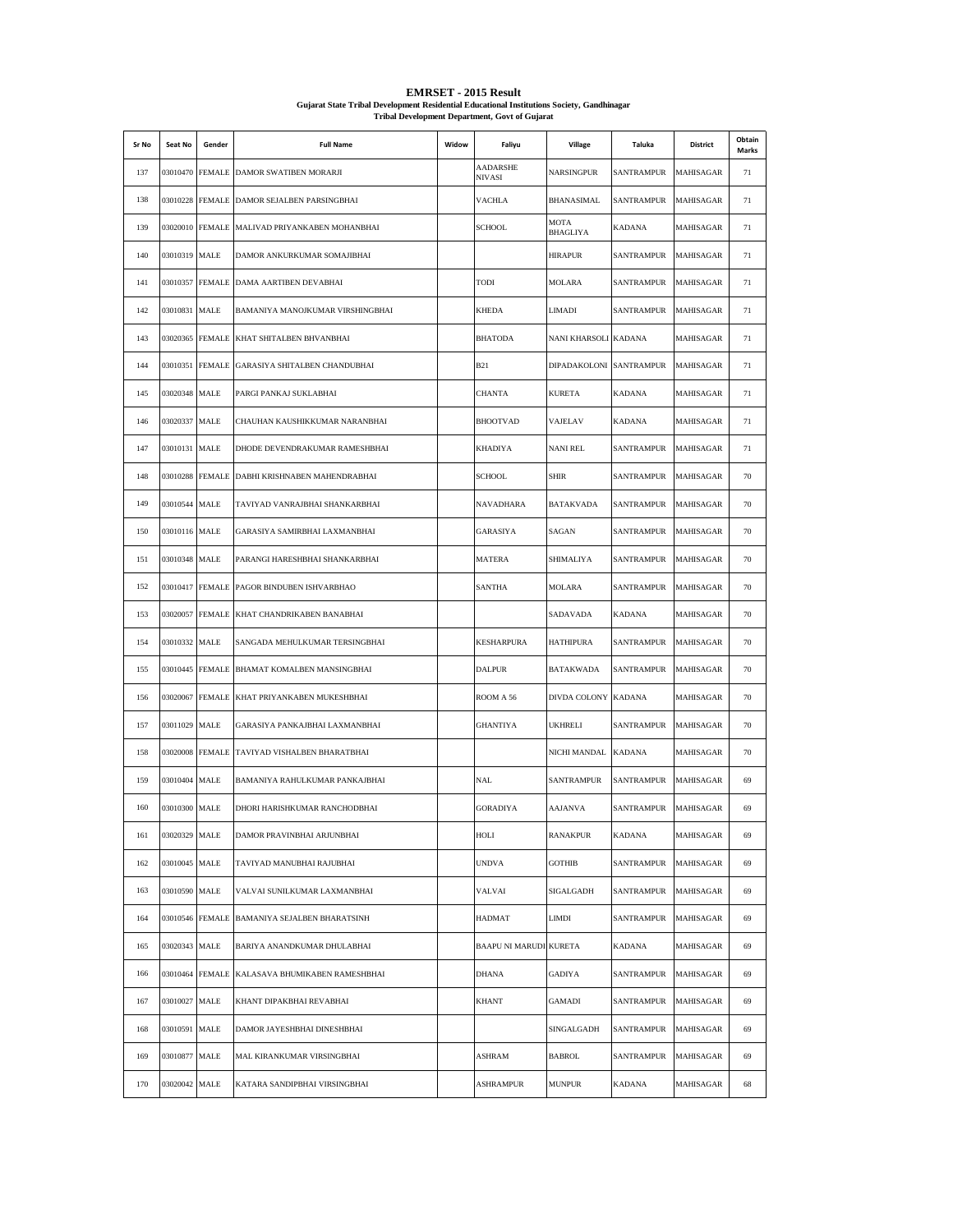| Sr No | Seat No       | Gender          | <b>Full Name</b>                              | Widow | Faliyu                 | Village                        | Taluka            | District  | Obtain<br>Marks |
|-------|---------------|-----------------|-----------------------------------------------|-------|------------------------|--------------------------------|-------------------|-----------|-----------------|
| 137   | 03010470      |                 | FEMALE DAMOR SWATIBEN MORARJI                 |       | AADARSHE<br>NIVASI     | NARSINGPUR                     | SANTRAMPUR        | MAHISAGAR | 71              |
| 138   | 03010228      |                 | FEMALE DAMOR SEJALBEN PARSINGBHAI             |       | <b>VACHLA</b>          | BHANASIMAL                     | SANTRAMPUR        | MAHISAGAR | 71              |
| 139   |               |                 | 03020010 FEMALE MALIVAD PRIYANKABEN MOHANBHAI |       | <b>SCHOOL</b>          | <b>MOTA</b><br><b>BHAGLIYA</b> | KADANA            | MAHISAGAR | 71              |
| 140   | 03010319      | MALE            | DAMOR ANKURKUMAR SOMAJIBHAI                   |       |                        | <b>HIRAPUR</b>                 | SANTRAMPUR        | MAHISAGAR | 71              |
| 141   | 03010357      | <b>FEMALE</b>   | DAMA AARTIBEN DEVABHAI                        |       | TODI                   | <b>MOLARA</b>                  | SANTRAMPUR        | MAHISAGAR | 71              |
| 142   | 03010831      | MALE            | BAMANIYA MANOJKUMAR VIRSHINGBHAI              |       | <b>KHEDA</b>           | LIMADI                         | SANTRAMPUR        | MAHISAGAR | 71              |
| 143   | 03020365      | <b>FEMALE</b>   | KHAT SHITALBEN BHVANBHAI                      |       | <b>BHATODA</b>         | NANI KHARSOLI KADANA           |                   | MAHISAGAR | 71              |
| 144   |               |                 | 03010351 FEMALE GARASIYA SHITALBEN CHANDUBHAI |       | <b>B21</b>             | DIPADAKOLONI SANTRAMPUR        |                   | MAHISAGAR | 71              |
| 145   | 03020348      | MALE            | PARGI PANKAJ SUKLABHAI                        |       | <b>CHANTA</b>          | <b>KURETA</b>                  | <b>KADANA</b>     | MAHISAGAR | 71              |
| 146   | 03020337      | MALE            | CHAUHAN KAUSHIKKUMAR NARANBHAI                |       | <b>BHOOTVAD</b>        | VAJELAV                        | <b>KADANA</b>     | MAHISAGAR | 71              |
| 147   | 03010131      | MALE            | DHODE DEVENDRAKUMAR RAMESHBHAI                |       | <b>KHADIYA</b>         | <b>NANI REL</b>                | <b>SANTRAMPUR</b> | MAHISAGAR | 71              |
| 148   | 03010288      | <b>FEMALE</b>   | DABHI KRISHNABEN MAHENDRABHAI                 |       | <b>SCHOOL</b>          | <b>SHIR</b>                    | SANTRAMPUR        | MAHISAGAR | 70              |
| 149   | 03010544      | MALE            | TAVIYAD VANRAJBHAI SHANKARBHAI                |       | NAVADHARA              | BATAKVADA                      | <b>SANTRAMPUR</b> | MAHISAGAR | 70              |
| 150   | 03010116 MALE |                 | GARASIYA SAMIRBHAI LAXMANBHAI                 |       | GARASIYA               | SAGAN                          | SANTRAMPUR        | MAHISAGAR | 70              |
| 151   | 03010348      | MALE            | PARANGI HARESHBHAI SHANKARBHAI                |       | <b>MATERA</b>          | SHIMALIYA                      | SANTRAMPUR        | MAHISAGAR | 70              |
| 152   | 03010417      | <b>FEMALE</b>   | PAGOR BINDUBEN ISHVARBHAO                     |       | <b>SANTHA</b>          | MOLARA                         | SANTRAMPUR        | MAHISAGAR | 70              |
| 153   | 03020057      | <b>FEMALE</b>   | KHAT CHANDRIKABEN BANABHAI                    |       |                        | SADAVADA                       | KADANA            | MAHISAGAR | 70              |
| 154   | 03010332      | MALE            | SANGADA MEHULKUMAR TERSINGBHAI                |       | <b>KESHARPURA</b>      | <b>HATHIPURA</b>               | SANTRAMPUR        | MAHISAGAR | 70              |
| 155   | 03010445      | <b>FEMALE</b>   | BHAMAT KOMALBEN MANSINGBHAI                   |       | <b>DALPUR</b>          | BATAKWADA                      | SANTRAMPUR        | MAHISAGAR | 70              |
| 156   | 03020067      |                 | FEMALE KHAT PRIYANKABEN MUKESHBHAI            |       | ROOM A 56              | DIVDA COLONY KADANA            |                   | MAHISAGAR | 70              |
| 157   | 03011029      | MALE            | GARASIYA PANKAJBHAI LAXMANBHAI                |       | <b>GHANTIYA</b>        | <b>UKHRELI</b>                 | SANTRAMPUR        | MAHISAGAR | 70              |
| 158   |               | 03020008 FEMALE | TAVIYAD VISHALBEN BHARATBHAI                  |       |                        | NICHI MANDAL                   | <b>KADANA</b>     | MAHISAGAR | 70              |
| 159   | 03010404      | <b>MALE</b>     | BAMANIYA RAHULKUMAR PANKAJBHAI                |       | NAL                    | SANTRAMPUR                     | <b>SANTRAMPUR</b> | MAHISAGAR | 69              |
| 160   | 03010300      | MALE            | DHORI HARISHKUMAR RANCHODBHAI                 |       | <b>GORADIYA</b>        | <b>AAJANVA</b>                 | <b>SANTRAMPUR</b> | MAHISAGAR | 69              |
| 161   | 03020329 MALE |                 | DAMOR PRAVINBHAI ARJUNBHAI                    |       | HOLI                   | <b>RANAKPUR</b>                | KADANA            | MAHISAGAR | 69              |
| 162   | 03010045 MALE |                 | TAVIYAD MANUBHAI RAJUBHAI                     |       | <b>UNDVA</b>           | <b>GOTHIB</b>                  | <b>SANTRAMPUR</b> | MAHISAGAR | 69              |
| 163   | 03010590      | MALE            | VALVAI SUNILKUMAR LAXMANBHAI                  |       | VALVAI                 | SIGALGADH                      | SANTRAMPUR        | MAHISAGAR | 69              |
| 164   |               | 03010546 FEMALE | BAMANIYA SEJALBEN BHARATSINH                  |       | HADMAT                 | LIMDI                          | SANTRAMPUR        | MAHISAGAR | 69              |
| 165   | 03020343      | <b>MALE</b>     | BARIYA ANANDKUMAR DHULABHAI                   |       | BAAPU NI MARUDI KURETA |                                | KADANA            | MAHISAGAR | 69              |
| 166   |               | 03010464 FEMALE | KALASAVA BHUMIKABEN RAMESHBHAI                |       | <b>DHANA</b>           | GADIYA                         | SANTRAMPUR        | MAHISAGAR | 69              |
| 167   | 03010027      | MALE            | KHANT DIPAKBHAI REVABHAI                      |       | <b>KHANT</b>           | <b>GAMADI</b>                  | <b>SANTRAMPUR</b> | MAHISAGAR | 69              |
| 168   | 03010591 MALE |                 | DAMOR JAYESHBHAI DINESHBHAI                   |       |                        | SINGALGADH                     | <b>SANTRAMPUR</b> | MAHISAGAR | 69              |
| 169   | 03010877 MALE |                 | MAL KIRANKUMAR VIRSINGBHAI                    |       | ASHRAM                 | <b>BABROL</b>                  | SANTRAMPUR        | MAHISAGAR | 69              |
| 170   | 03020042 MALE |                 | KATARA SANDIPBHAI VIRSINGBHAI                 |       | ASHRAMPUR              | <b>MUNPUR</b>                  | KADANA            | MAHISAGAR | 68              |

## **EMRSET - 2015 Result Gujarat State Tribal Development Residential Educational Institutions Society, Gandhinagar Tribal Development Department, Govt of Gujarat**